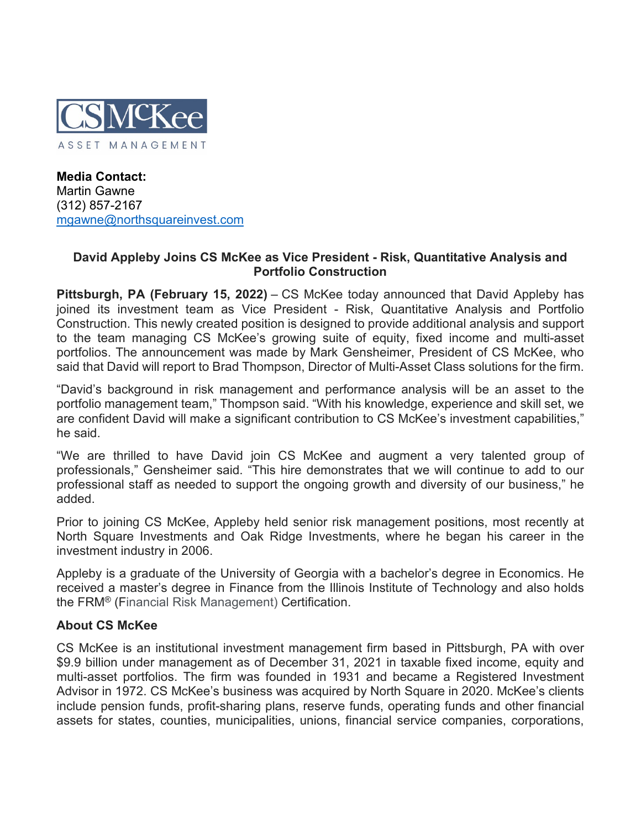

**Media Contact:** Martin Gawne (312) 857-2167 [mgawne@northsquareinvest.com](mailto:mgawne@northsquareinvest.com)

## **David Appleby Joins CS McKee as Vice President - Risk, Quantitative Analysis and Portfolio Construction**

**Pittsburgh, PA (February 15, 2022)** – CS McKee today announced that David Appleby has joined its investment team as Vice President - Risk, Quantitative Analysis and Portfolio Construction. This newly created position is designed to provide additional analysis and support to the team managing CS McKee's growing suite of equity, fixed income and multi-asset portfolios. The announcement was made by Mark Gensheimer, President of CS McKee, who said that David will report to Brad Thompson, Director of Multi-Asset Class solutions for the firm.

"David's background in risk management and performance analysis will be an asset to the portfolio management team," Thompson said. "With his knowledge, experience and skill set, we are confident David will make a significant contribution to CS McKee's investment capabilities," he said.

"We are thrilled to have David join CS McKee and augment a very talented group of professionals," Gensheimer said. "This hire demonstrates that we will continue to add to our professional staff as needed to support the ongoing growth and diversity of our business," he added.

Prior to joining CS McKee, Appleby held senior risk management positions, most recently at North Square Investments and Oak Ridge Investments, where he began his career in the investment industry in 2006.

Appleby is a graduate of the University of Georgia with a bachelor's degree in Economics. He received a master's degree in Finance from the Illinois Institute of Technology and also holds the FRM® (Financial Risk Management) Certification.

## **About CS McKee**

CS McKee is an institutional investment management firm based in Pittsburgh, PA with over \$9.9 billion under management as of December 31, 2021 in taxable fixed income, equity and multi-asset portfolios. The firm was founded in 1931 and became a Registered Investment Advisor in 1972. CS McKee's business was acquired by North Square in 2020. McKee's clients include pension funds, profit-sharing plans, reserve funds, operating funds and other financial assets for states, counties, municipalities, unions, financial service companies, corporations,